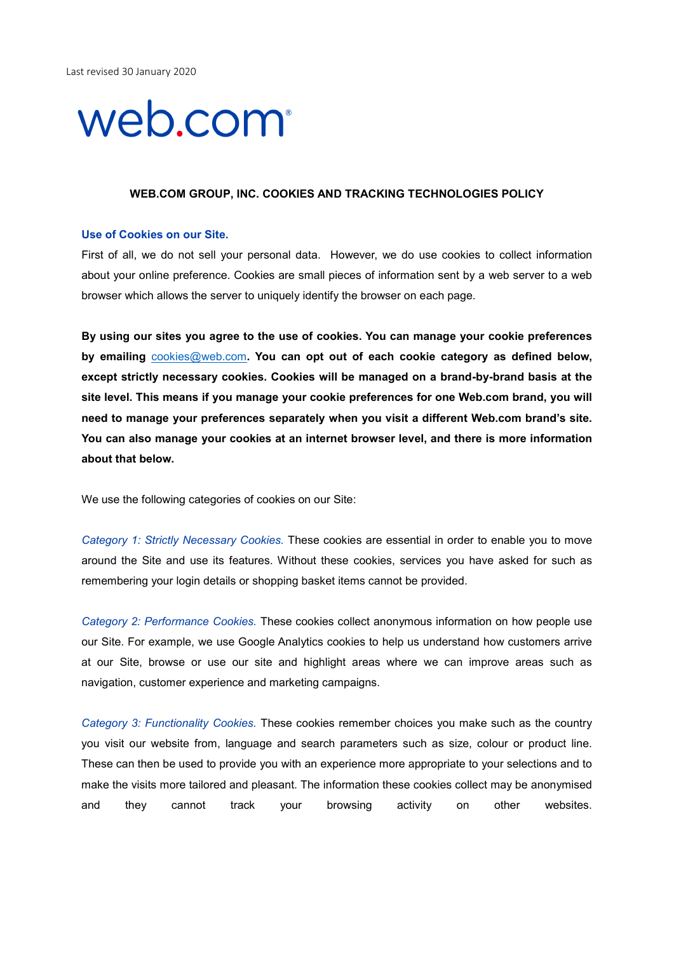# web.com<sup>®</sup>

## **WEB.COM GROUP, INC. COOKIES AND TRACKING TECHNOLOGIES POLICY**

#### **Use of Cookies on our Site.**

First of all, we do not sell your personal data. However, we do use cookies to collect information about your online preference. Cookies are small pieces of information sent by a web server to a web browser which allows the server to uniquely identify the browser on each page.

**By using our sites you agree to the use of cookies. You can manage your cookie preferences by emailing** [cookies@web.com](mailto:cookes@web.com)**. You can opt out of each cookie category as defined below, except strictly necessary cookies. Cookies will be managed on a brand-by-brand basis at the site level. This means if you manage your cookie preferences for one Web.com brand, you will need to manage your preferences separately when you visit a different Web.com brand's site. You can also manage your cookies at an internet browser level, and there is more information about that below.**

We use the following categories of cookies on our Site:

*Category 1: Strictly Necessary Cookies.* These cookies are essential in order to enable you to move around the Site and use its features. Without these cookies, services you have asked for such as remembering your login details or shopping basket items cannot be provided.

*Category 2: Performance Cookies.* These cookies collect anonymous information on how people use our Site. For example, we use Google Analytics cookies to help us understand how customers arrive at our Site, browse or use our site and highlight areas where we can improve areas such as navigation, customer experience and marketing campaigns.

*Category 3: Functionality Cookies.* These cookies remember choices you make such as the country you visit our website from, language and search parameters such as size, colour or product line. These can then be used to provide you with an experience more appropriate to your selections and to make the visits more tailored and pleasant. The information these cookies collect may be anonymised and they cannot track your browsing activity on other websites.